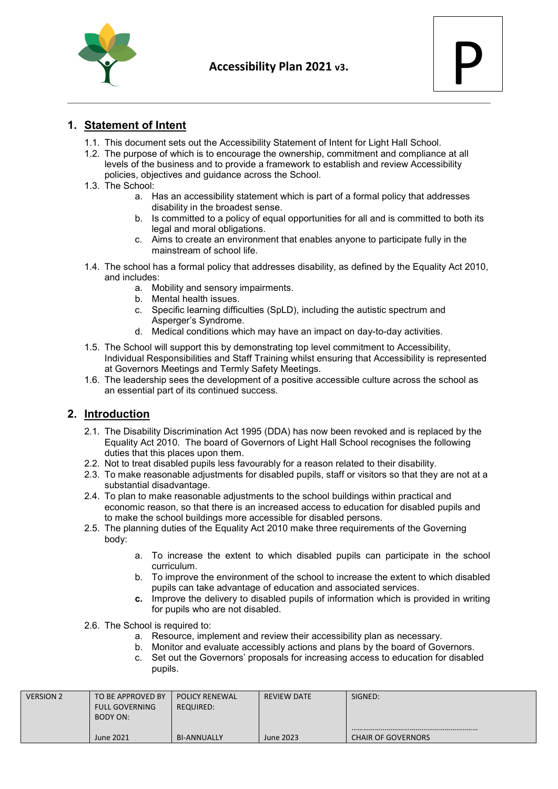



### **1. Statement of Intent**

- 1.1. This document sets out the Accessibility Statement of Intent for Light Hall School.
- 1.2. The purpose of which is to encourage the ownership, commitment and compliance at all levels of the business and to provide a framework to establish and review Accessibility policies, objectives and guidance across the School.
- 1.3. The School:
	- a. Has an accessibility statement which is part of a formal policy that addresses disability in the broadest sense.
	- b. Is committed to a policy of equal opportunities for all and is committed to both its legal and moral obligations.
	- c. Aims to create an environment that enables anyone to participate fully in the mainstream of school life.
- 1.4. The school has a formal policy that addresses disability, as defined by the Equality Act 2010, and includes:
	- a. Mobility and sensory impairments.
	- b. Mental health issues.
	- c. Specific learning difficulties (SpLD), including the autistic spectrum and Asperger's Syndrome.
	- d. Medical conditions which may have an impact on day-to-day activities.
- 1.5. The School will support this by demonstrating top level commitment to Accessibility, Individual Responsibilities and Staff Training whilst ensuring that Accessibility is represented at Governors Meetings and Termly Safety Meetings.
- 1.6. The leadership sees the development of a positive accessible culture across the school as an essential part of its continued success.

#### **2. Introduction**

- 2.1. The Disability Discrimination Act 1995 (DDA) has now been revoked and is replaced by the Equality Act 2010. The board of Governors of Light Hall School recognises the following duties that this places upon them.
- 2.2. Not to treat disabled pupils less favourably for a reason related to their disability.
- 2.3. To make reasonable adjustments for disabled pupils, staff or visitors so that they are not at a substantial disadvantage.
- 2.4. To plan to make reasonable adjustments to the school buildings within practical and economic reason, so that there is an increased access to education for disabled pupils and to make the school buildings more accessible for disabled persons.
- 2.5. The planning duties of the Equality Act 2010 make three requirements of the Governing body:
	- a. To increase the extent to which disabled pupils can participate in the school curriculum.
	- b. To improve the environment of the school to increase the extent to which disabled pupils can take advantage of education and associated services.
	- **c.** Improve the delivery to disabled pupils of information which is provided in writing for pupils who are not disabled.
- 2.6. The School is required to:
	- a. Resource, implement and review their accessibility plan as necessary.
	- b. Monitor and evaluate accessibly actions and plans by the board of Governors.
	- c. Set out the Governors' proposals for increasing access to education for disabled pupils.

| <b>VERSION 2</b> | TO BE APPROVED BY<br><b>FULL GOVERNING</b> | <b>POLICY RENEWAL</b><br>REQUIRED: | <b>REVIEW DATE</b> | SIGNED:                   |
|------------------|--------------------------------------------|------------------------------------|--------------------|---------------------------|
|                  | BODY ON:<br><b>June 2021</b>               | <b>BI-ANNUALLY</b>                 | June 2023          | <b>CHAIR OF GOVERNORS</b> |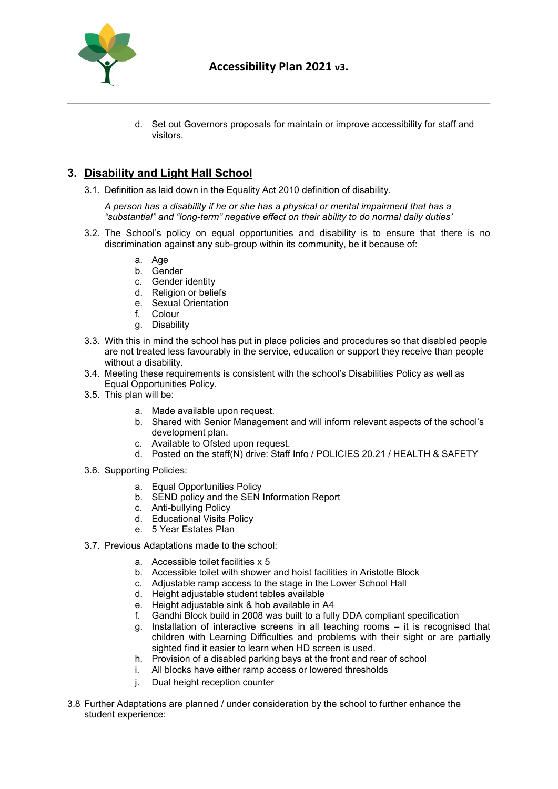

d. Set out Governors proposals for maintain or improve accessibility for staff and visitors.

## **3. Disability and Light Hall School**

3.1. Definition as laid down in the Equality Act 2010 definition of disability.

*A person has a disability if he or she has a physical or mental impairment that has a "substantial" and "long-term" negative effect on their ability to do normal daily duties'*

- 3.2. The School's policy on equal opportunities and disability is to ensure that there is no discrimination against any sub-group within its community, be it because of:
	- a. Age
	- b. Gender
	- c. Gender identity
	- d. Religion or beliefs
	- e. Sexual Orientation
	- f. Colour
	- g. Disability
- 3.3. With this in mind the school has put in place policies and procedures so that disabled people are not treated less favourably in the service, education or support they receive than people without a disability.
- 3.4. Meeting these requirements is consistent with the school's Disabilities Policy as well as Equal Opportunities Policy.
- 3.5. This plan will be:
	- a. Made available upon request.
	- b. Shared with Senior Management and will inform relevant aspects of the school's development plan.
	- c. Available to Ofsted upon request.
	- d. Posted on the staff(N) drive: Staff Info / POLICIES 20.21 / HEALTH & SAFETY
- 3.6. Supporting Policies:
	- a. Equal Opportunities Policy
	- b. SEND policy and the SEN Information Report
	- c. Anti-bullying Policy
	- d. Educational Visits Policy
	- e. 5 Year Estates Plan
- 3.7. Previous Adaptations made to the school:
	- a. Accessible toilet facilities x 5
	- b. Accessible toilet with shower and hoist facilities in Aristotle Block
	- c. Adjustable ramp access to the stage in the Lower School Hall
	- d. Height adjustable student tables available
	- e. Height adjustable sink & hob available in A4
	- f. Gandhi Block build in 2008 was built to a fully DDA compliant specification
	- g. Installation of interactive screens in all teaching rooms it is recognised that children with Learning Difficulties and problems with their sight or are partially sighted find it easier to learn when HD screen is used.
	- h. Provision of a disabled parking bays at the front and rear of school
	- i. All blocks have either ramp access or lowered thresholds
	- j. Dual height reception counter
- 3.8 Further Adaptations are planned / under consideration by the school to further enhance the student experience: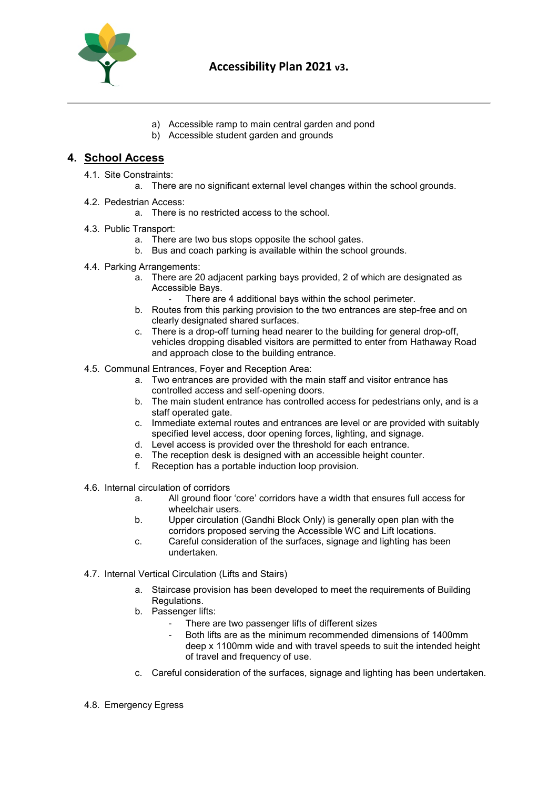

- a) Accessible ramp to main central garden and pond
- b) Accessible student garden and grounds

#### **4. School Access**

- 4.1. Site Constraints:
	- a. There are no significant external level changes within the school grounds.
- 4.2. Pedestrian Access:
	- a. There is no restricted access to the school.
- 4.3. Public Transport:
	- a. There are two bus stops opposite the school gates.
	- b. Bus and coach parking is available within the school grounds.
- 4.4. Parking Arrangements:
	- a. There are 20 adjacent parking bays provided, 2 of which are designated as Accessible Bays.
		- There are 4 additional bays within the school perimeter.
	- b. Routes from this parking provision to the two entrances are step-free and on clearly designated shared surfaces.
	- c. There is a drop-off turning head nearer to the building for general drop-off, vehicles dropping disabled visitors are permitted to enter from Hathaway Road and approach close to the building entrance.
- 4.5. Communal Entrances, Foyer and Reception Area:
	- a. Two entrances are provided with the main staff and visitor entrance has controlled access and self-opening doors.
	- b. The main student entrance has controlled access for pedestrians only, and is a staff operated gate.
	- c. Immediate external routes and entrances are level or are provided with suitably specified level access, door opening forces, lighting, and signage.
	- d. Level access is provided over the threshold for each entrance.
	- e. The reception desk is designed with an accessible height counter.
	- f. Reception has a portable induction loop provision.
- 4.6. Internal circulation of corridors
	- a. All ground floor 'core' corridors have a width that ensures full access for wheelchair users.
	- b. Upper circulation (Gandhi Block Only) is generally open plan with the corridors proposed serving the Accessible WC and Lift locations.
	- c. Careful consideration of the surfaces, signage and lighting has been undertaken.
- 4.7. Internal Vertical Circulation (Lifts and Stairs)
	- a. Staircase provision has been developed to meet the requirements of Building Regulations.
	- b. Passenger lifts:
		- There are two passenger lifts of different sizes
		- Both lifts are as the minimum recommended dimensions of 1400mm deep x 1100mm wide and with travel speeds to suit the intended height of travel and frequency of use.
	- c. Careful consideration of the surfaces, signage and lighting has been undertaken.
- 4.8. Emergency Egress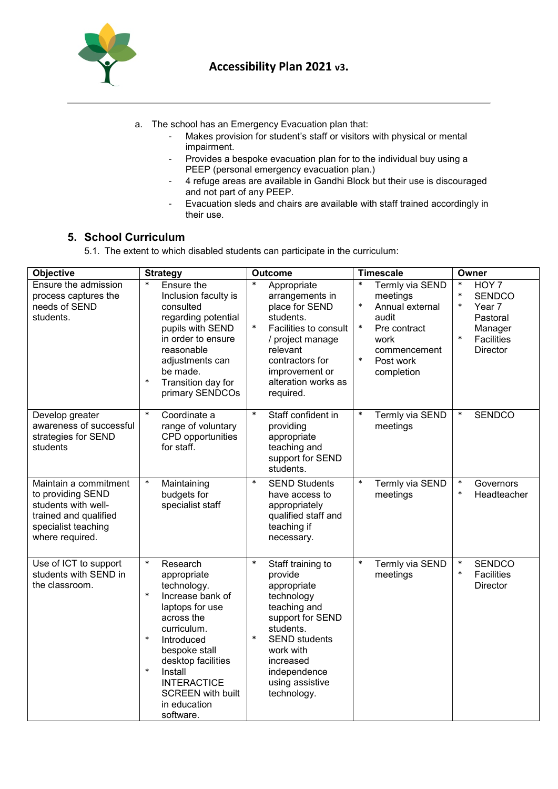

- a. The school has an Emergency Evacuation plan that:
	- Makes provision for student's staff or visitors with physical or mental impairment.
	- Provides a bespoke evacuation plan for to the individual buy using a PEEP (personal emergency evacuation plan.)
	- 4 refuge areas are available in Gandhi Block but their use is discouraged and not part of any PEEP.
	- Evacuation sleds and chairs are available with staff trained accordingly in their use.

# **5. School Curriculum**

5.1. The extent to which disabled students can participate in the curriculum:

| <b>Objective</b>                                                                                                                     | <b>Strategy</b>                                                                                                                                                                                                                                                                                   | <b>Outcome</b>                                                                                                                                                                                                                     | <b>Timescale</b>                                                                                                                                              | Owner                                                                                                                            |
|--------------------------------------------------------------------------------------------------------------------------------------|---------------------------------------------------------------------------------------------------------------------------------------------------------------------------------------------------------------------------------------------------------------------------------------------------|------------------------------------------------------------------------------------------------------------------------------------------------------------------------------------------------------------------------------------|---------------------------------------------------------------------------------------------------------------------------------------------------------------|----------------------------------------------------------------------------------------------------------------------------------|
| Ensure the admission<br>process captures the<br>needs of SEND<br>students.                                                           | $\ast$<br>Ensure the<br>Inclusion faculty is<br>consulted<br>regarding potential<br>pupils with SEND<br>in order to ensure<br>reasonable<br>adjustments can<br>be made.<br>$\ast$<br>Transition day for<br>primary SENDCOs                                                                        | $\ast$<br>Appropriate<br>arrangements in<br>place for SEND<br>students.<br>$\ast$<br>Facilities to consult<br>/ project manage<br>relevant<br>contractors for<br>improvement or<br>alteration works as<br>required.                | $\ast$<br>Termly via SEND<br>meetings<br>*<br>Annual external<br>audit<br>$\ast$<br>Pre contract<br>work<br>commencement<br>$\ast$<br>Post work<br>completion | $\ast$<br>HOY 7<br>$\ast$<br><b>SENDCO</b><br>$\ast$<br>Year 7<br>Pastoral<br>Manager<br>$\ast$<br>Facilities<br><b>Director</b> |
| Develop greater<br>awareness of successful<br>strategies for SEND<br>students                                                        | $\ast$<br>Coordinate a<br>range of voluntary<br>CPD opportunities<br>for staff.                                                                                                                                                                                                                   | $\ast$<br>Staff confident in<br>providing<br>appropriate<br>teaching and<br>support for SEND<br>students.                                                                                                                          | $\ast$<br>Termly via SEND<br>meetings                                                                                                                         | $\ast$<br><b>SENDCO</b>                                                                                                          |
| Maintain a commitment<br>to providing SEND<br>students with well-<br>trained and qualified<br>specialist teaching<br>where required. | $\ast$<br>Maintaining<br>budgets for<br>specialist staff                                                                                                                                                                                                                                          | $\ast$<br><b>SEND Students</b><br>have access to<br>appropriately<br>qualified staff and<br>teaching if<br>necessary.                                                                                                              | $\ast$<br>Termly via SEND<br>meetings                                                                                                                         | $\ast$<br>Governors<br>$\ast$<br>Headteacher                                                                                     |
| Use of ICT to support<br>students with SEND in<br>the classroom.                                                                     | $\ast$<br>Research<br>appropriate<br>technology.<br>$\ast$<br>Increase bank of<br>laptops for use<br>across the<br>curriculum.<br>$\ast$<br>Introduced<br>bespoke stall<br>desktop facilities<br>$\ast$<br>Install<br><b>INTERACTICE</b><br><b>SCREEN</b> with built<br>in education<br>software. | $\ast$<br>Staff training to<br>provide<br>appropriate<br>technology<br>teaching and<br>support for SEND<br>students.<br>$\ast$<br><b>SEND</b> students<br>work with<br>increased<br>independence<br>using assistive<br>technology. | $\ast$<br>Termly via SEND<br>meetings                                                                                                                         | <b>SENDCO</b><br>$\ast$<br>$\ast$<br><b>Facilities</b><br>Director                                                               |